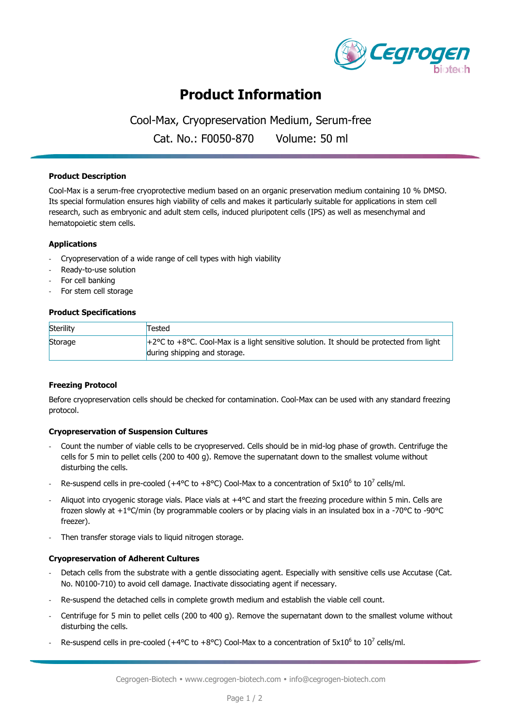

# **Product Information**

Cool-Max, Cryopreservation Medium, Serum-free

Cat. No.: F0050-870 Volume: 50 ml

#### **Product Description**

Cool-Max is a serum-free cryoprotective medium based on an organic preservation medium containing 10 % DMSO. Its special formulation ensures high viability of cells and makes it particularly suitable for applications in stem cell research, such as embryonic and adult stem cells, induced pluripotent cells (IPS) as well as mesenchymal and hematopoietic stem cells.

#### **Applications**

- Cryopreservation of a wide range of cell types with high viability
- Ready-to-use solution
- For cell banking
- For stem cell storage

#### **Product Specifications**

| Sterility | Tested                                                                                                       |
|-----------|--------------------------------------------------------------------------------------------------------------|
| Storage   | $+2^{\circ}$ C to +8 $^{\circ}$ C. Cool-Max is a light sensitive solution. It should be protected from light |
|           | during shipping and storage.                                                                                 |

#### **Freezing Protocol**

Before cryopreservation cells should be checked for contamination. Cool-Max can be used with any standard freezing protocol.

## **Cryopreservation of Suspension Cultures**

- Count the number of viable cells to be cryopreserved. Cells should be in mid-log phase of growth. Centrifuge the cells for 5 min to pellet cells (200 to 400 g). Remove the supernatant down to the smallest volume without disturbing the cells.
- Re-suspend cells in pre-cooled (+4°C to +8°C) Cool-Max to a concentration of  $5x10^6$  to  $10^7$  cells/ml.
- Aliquot into cryogenic storage vials. Place vials at +4°C and start the freezing procedure within 5 min. Cells are frozen slowly at +1°C/min (by programmable coolers or by placing vials in an insulated box in a -70°C to -90°C freezer).
- Then transfer storage vials to liquid nitrogen storage.

#### **Cryopreservation of Adherent Cultures**

- Detach cells from the substrate with a gentle dissociating agent. Especially with sensitive cells use Accutase (Cat. No. N0100-710) to avoid cell damage. Inactivate dissociating agent if necessary.
- Re-suspend the detached cells in complete growth medium and establish the viable cell count.
- Centrifuge for 5 min to pellet cells (200 to 400 g). Remove the supernatant down to the smallest volume without disturbing the cells.
- Re-suspend cells in pre-cooled (+4°C to +8°C) Cool-Max to a concentration of  $5x10^6$  to  $10^7$  cells/ml.